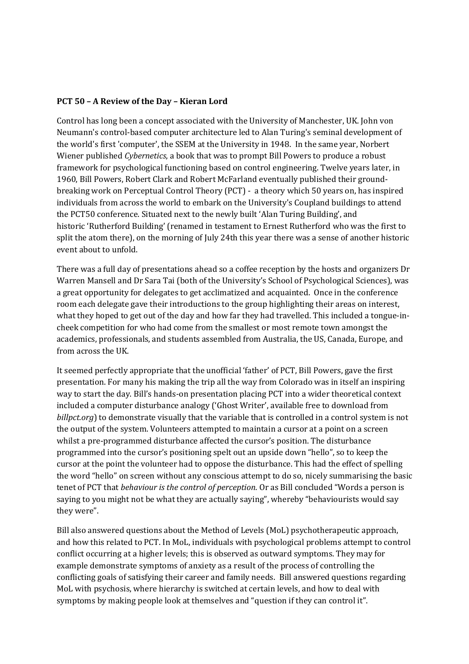## **PCT 50 – A Review of the Day – Kieran Lord**

Control has long been a concept associated with the University of Manchester, UK. John von Neumann's control-based computer architecture led to Alan Turing's seminal development of the world's first 'computer', the SSEM at the University in 1948. In the same year, Norbert Wiener published *Cybernetics*, a book that was to prompt Bill Powers to produce a robust framework for psychological functioning based on control engineering. Twelve years later, in 1960, Bill Powers, Robert Clark and Robert McFarland eventually published their groundbreaking work on Perceptual Control Theory (PCT) - a theory which 50 years on, has inspired individuals from across the world to embark on the University's Coupland buildings to attend the PCT50 conference. Situated next to the newly built 'Alan Turing Building', and historic 'Rutherford Building' (renamed in testament to Ernest Rutherford who was the first to split the atom there), on the morning of July 24th this year there was a sense of another historic event about to unfold.

There was a full day of presentations ahead so a coffee reception by the hosts and organizers Dr Warren Mansell and Dr Sara Tai (both of the University's School of Psychological Sciences), was a great opportunity for delegates to get acclimatized and acquainted. Once in the conference room each delegate gave their introductions to the group highlighting their areas on interest, what they hoped to get out of the day and how far they had travelled. This included a tongue-incheek competition for who had come from the smallest or most remote town amongst the academics, professionals, and students assembled from Australia, the US, Canada, Europe, and from across the UK.

It seemed perfectly appropriate that the unofficial 'father' of PCT, Bill Powers, gave the first presentation. For many his making the trip all the way from Colorado was in itself an inspiring way to start the day. Bill's hands-on presentation placing PCT into a wider theoretical context included a computer disturbance analogy ('Ghost Writer', available free to download from *billpct.org*) to demonstrate visually that the variable that is controlled in a control system is not the output of the system. Volunteers attempted to maintain a cursor at a point on a screen whilst a pre-programmed disturbance affected the cursor's position. The disturbance programmed into the cursor's positioning spelt out an upside down "hello", so to keep the cursor at the point the volunteer had to oppose the disturbance. This had the effect of spelling the word "hello" on screen without any conscious attempt to do so, nicely summarising the basic tenet of PCT that *behaviour is the control of perception*. Or as Bill concluded "Words a person is saying to you might not be what they are actually saying", whereby "behaviourists would say they were".

Bill also answered questions about the Method of Levels (MoL) psychotherapeutic approach, and how this related to PCT. In MoL, individuals with psychological problems attempt to control conflict occurring at a higher levels; this is observed as outward symptoms. They may for example demonstrate symptoms of anxiety as a result of the process of controlling the conflicting goals of satisfying their career and family needs. Bill answered questions regarding MoL with psychosis, where hierarchy is switched at certain levels, and how to deal with symptoms by making people look at themselves and "question if they can control it".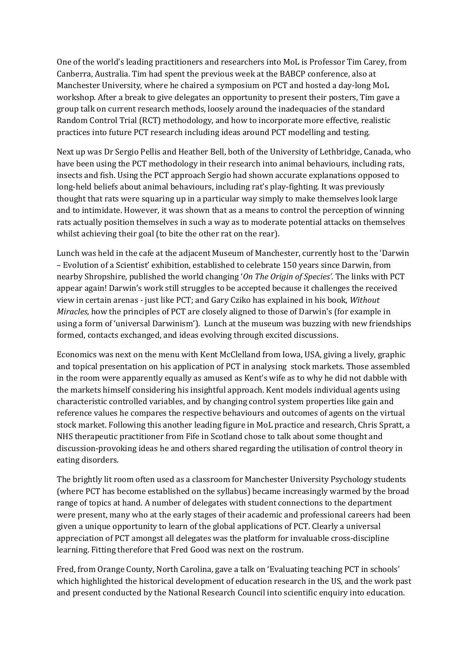One of the world's leading practitioners and researchers into MoL is Professor Tim Carey, from Canberra, Australia. Tim had spent the previous week at the BABCP conference, also at Manchester University, where he chaired a symposium on PCT and hosted a day-long MoL workshop. After a break to give delegates an opportunity to present their posters, Tim gave a group talk on current research methods, loosely around the inadequacies of the standard Random Control Trial (RCT) methodology, and how to incorporate more effective, realistic practices into future PCT research including ideas around PCT modelling and testing.

Next up was Dr Sergio Pellis and Heather Bell, both of the University of Lethbridge, Canada, who have been using the PCT methodology in their research into animal behaviours, including rats, insects and fish. Using the PCT approach Sergio had shown accurate explanations opposed to long-held beliefs about animal behaviours, including rat's play-fighting. It was previously thought that rats were squaring up in a particular way simply to make themselves look large and to intimidate. However, it was shown that as a means to control the perception of winning rats actually position themselves in such a way as to moderate potential attacks on themselves whilst achieving their goal (to bite the other rat on the rear).

Lunch was held in the cafe at the adjacent Museum of Manchester, currently host to the 'Darwin – Evolution of a Scientist' exhibition, established to celebrate 150 years since Darwin, from nearby Shropshire, published the world changing '*On The Origin of Species'*. The links with PCT appear again! Darwin's work still struggles to be accepted because it challenges the received view in certain arenas - just like PCT; and Gary Cziko has explained in his book, *Without Miracles*, how the principles of PCT are closely aligned to those of Darwin's (for example in using a form of 'universal Darwinism'). Lunch at the museum was buzzing with new friendships formed, contacts exchanged, and ideas evolving through excited discussions.

Economics was next on the menu with Kent McClelland from Iowa, USA, giving a lively, graphic and topical presentation on his application of PCT in analysing stock markets. Those assembled in the room were apparently equally as amused as Kent's wife as to why he did not dabble with the markets himself considering his insightful approach. Kent models individual agents using characteristic controlled variables, and by changing control system properties like gain and reference values he compares the respective behaviours and outcomes of agents on the virtual stock market. Following this another leading figure in MoL practice and research, Chris Spratt, a NHS therapeutic practitioner from Fife in Scotland chose to talk about some thought and discussion-provoking ideas he and others shared regarding the utilisation of control theory in eating disorders.

The brightly lit room often used as a classroom for Manchester University Psychology students (where PCT has become established on the syllabus) became increasingly warmed by the broad range of topics at hand. A number of delegates with student connections to the department were present, many who at the early stages of their academic and professional careers had been given a unique opportunity to learn of the global applications of PCT. Clearly a universal appreciation of PCT amongst all delegates was the platform for invaluable cross-discipline learning. Fitting therefore that Fred Good was next on the rostrum.

Fred, from Orange County, North Carolina, gave a talk on 'Evaluating teaching PCT in schools' which highlighted the historical development of education research in the US, and the work past and present conducted by the National Research Council into scientific enquiry into education.